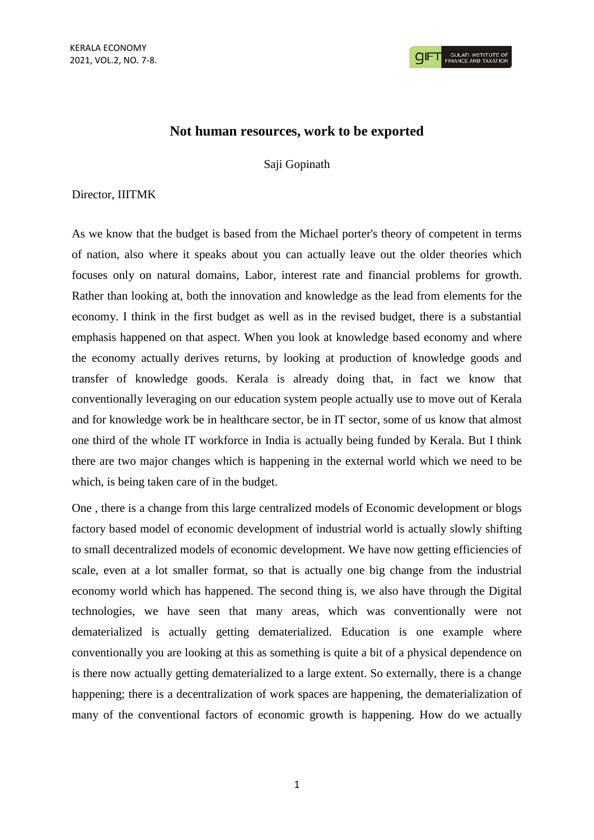## **Not human resources, work to be exported**

Saji Gopinath

## Director, IIITMK

As we know that the budget is based from the Michael porter's theory of competent in terms of nation, also where it speaks about you can actually leave out the older theories which focuses only on natural domains, Labor, interest rate and financial problems for growth. Rather than looking at, both the innovation and knowledge as the lead from elements for the economy. I think in the first budget as well as in the revised budget, there is a substantial emphasis happened on that aspect. When you look at knowledge based economy and where the economy actually derives returns, by looking at production of knowledge goods and transfer of knowledge goods. Kerala is already doing that, in fact we know that conventionally leveraging on our education system people actually use to move out of Kerala and for knowledge work be in healthcare sector, be in IT sector, some of us know that almost one third of the whole IT workforce in India is actually being funded by Kerala. But I think there are two major changes which is happening in the external world which we need to be which, is being taken care of in the budget.

One , there is a change from this large centralized models of Economic development or blogs factory based model of economic development of industrial world is actually slowly shifting to small decentralized models of economic development. We have now getting efficiencies of scale, even at a lot smaller format, so that is actually one big change from the industrial economy world which has happened. The second thing is, we also have through the Digital technologies, we have seen that many areas, which was conventionally were not dematerialized is actually getting dematerialized. Education is one example where conventionally you are looking at this as something is quite a bit of a physical dependence on is there now actually getting dematerialized to a large extent. So externally, there is a change happening; there is a decentralization of work spaces are happening, the dematerialization of many of the conventional factors of economic growth is happening. How do we actually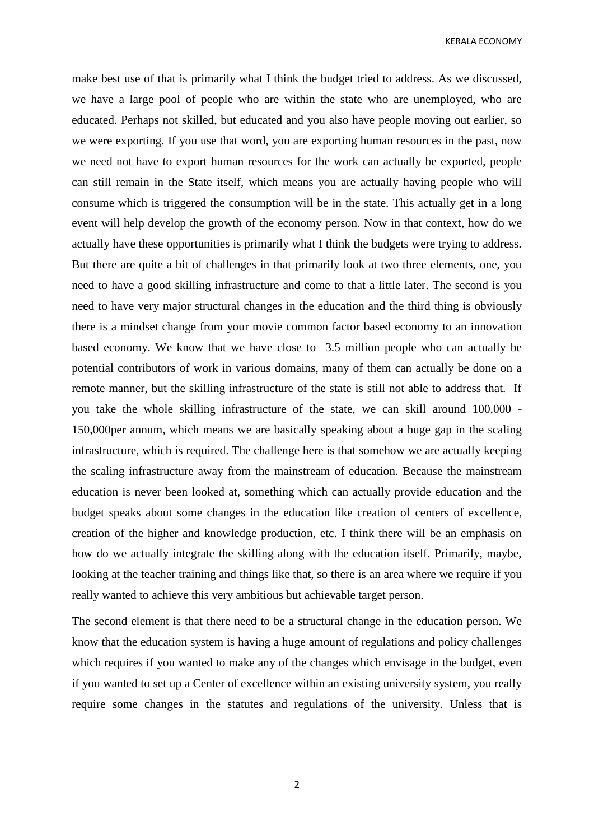KERALA ECONOMY

make best use of that is primarily what I think the budget tried to address. As we discussed, we have a large pool of people who are within the state who are unemployed, who are educated. Perhaps not skilled, but educated and you also have people moving out earlier, so we were exporting. If you use that word, you are exporting human resources in the past, now we need not have to export human resources for the work can actually be exported, people can still remain in the State itself, which means you are actually having people who will consume which is triggered the consumption will be in the state. This actually get in a long event will help develop the growth of the economy person. Now in that context, how do we actually have these opportunities is primarily what I think the budgets were trying to address. But there are quite a bit of challenges in that primarily look at two three elements, one, you need to have a good skilling infrastructure and come to that a little later. The second is you need to have very major structural changes in the education and the third thing is obviously there is a mindset change from your movie common factor based economy to an innovation based economy. We know that we have close to 3.5 million people who can actually be potential contributors of work in various domains, many of them can actually be done on a remote manner, but the skilling infrastructure of the state is still not able to address that. If you take the whole skilling infrastructure of the state, we can skill around 100,000 - 150,000per annum, which means we are basically speaking about a huge gap in the scaling infrastructure, which is required. The challenge here is that somehow we are actually keeping the scaling infrastructure away from the mainstream of education. Because the mainstream education is never been looked at, something which can actually provide education and the budget speaks about some changes in the education like creation of centers of excellence, creation of the higher and knowledge production, etc. I think there will be an emphasis on how do we actually integrate the skilling along with the education itself. Primarily, maybe, looking at the teacher training and things like that, so there is an area where we require if you really wanted to achieve this very ambitious but achievable target person.

The second element is that there need to be a structural change in the education person. We know that the education system is having a huge amount of regulations and policy challenges which requires if you wanted to make any of the changes which envisage in the budget, even if you wanted to set up a Center of excellence within an existing university system, you really require some changes in the statutes and regulations of the university. Unless that is